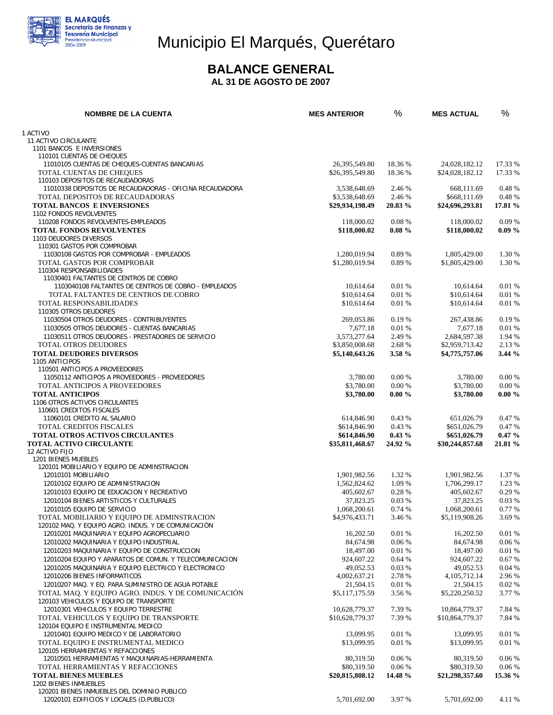

# Municipio El Marqués, Querétaro

#### **BALANCE GENERAL**

 **AL 31 DE AGOSTO DE 2007** 

| <b>NOMBRE DE LA CUENTA</b>                                                                       | <b>MES ANTERIOR</b>            | %                | <b>MES ACTUAL</b>              | %               |
|--------------------------------------------------------------------------------------------------|--------------------------------|------------------|--------------------------------|-----------------|
| 1 ACTIVO                                                                                         |                                |                  |                                |                 |
| 11 ACTIVO CIRCULANTE                                                                             |                                |                  |                                |                 |
| 1101 BANCOS E INVERSIONES                                                                        |                                |                  |                                |                 |
| 110101 CUENTAS DE CHEQUES                                                                        |                                |                  |                                |                 |
| 11010105 CUENTAS DE CHEQUES-CUENTAS BANCARIAS                                                    | 26, 395, 549.80                | 18.36 %          | 24,028,182.12                  | 17.33 %         |
| TOTAL CUENTAS DE CHEQUES                                                                         | \$26,395,549.80                | 18.36 %          | \$24,028,182.12                | 17.33 %         |
| 110103 DEPOSITOS DE RECAUDADORAS<br>11010338 DEPOSITOS DE RECAUDADORAS - OFICINA RECAUDADORA     | 3,538,648.69                   | 2.46 %           | 668,111.69                     | 0.48 %          |
| TOTAL DEPOSITOS DE RECAUDADORAS                                                                  | \$3,538,648.69                 | 2.46 %           | \$668,111.69                   | 0.48 %          |
| <b>TOTAL BANCOS E INVERSIONES</b>                                                                | \$29,934,198.49                | 20.83 %          | \$24,696,293.81                | 17.81 %         |
| 1102 FONDOS REVOLVENTES                                                                          |                                |                  |                                |                 |
| 110208 FONDOS REVOLVENTES-EMPLEADOS                                                              | 118,000.02                     | 0.08%            | 118,000.02                     | 0.09%           |
| <b>TOTAL FONDOS REVOLVENTES</b>                                                                  | \$118,000.02                   | $0.08 \%$        | \$118,000.02                   | $0.09\%$        |
| 1103 DEUDORES DIVERSOS                                                                           |                                |                  |                                |                 |
| 110301 GASTOS POR COMPROBAR<br>11030108 GASTOS POR COMPROBAR - EMPLEADOS                         | 1,280,019.94                   | 0.89%            | 1,805,429.00                   | 1.30 %          |
| TOTAL GASTOS POR COMPROBAR                                                                       | \$1,280,019.94                 | 0.89%            | \$1,805,429.00                 | 1.30 %          |
| 110304 RESPONSABILIDADES                                                                         |                                |                  |                                |                 |
| 11030401 FALTANTES DE CENTROS DE COBRO                                                           |                                |                  |                                |                 |
| 1103040108 FALTANTES DE CENTROS DE COBRO - EMPLEADOS                                             | 10,614.64                      | 0.01%            | 10,614.64                      | 0.01 %          |
| TOTAL FALTANTES DE CENTROS DE COBRO                                                              | \$10,614.64                    | 0.01 %           | \$10,614.64                    | 0.01%           |
| TOTAL RESPONSABILIDADES                                                                          | \$10,614.64                    | 0.01%            | \$10,614.64                    | 0.01%           |
| 110305 OTROS DEUDORES                                                                            |                                |                  |                                |                 |
| 11030504 OTROS DEUDORES - CONTRIBUYENTES                                                         | 269,053.86                     | 0.19 %           | 267,438.86                     | 0.19%           |
| 11030505 OTROS DEUDORES - CUENTAS BANCARIAS<br>11030511 OTROS DEUDORES - PRESTADORES DE SERVICIO | 7.677.18<br>3,573,277.64       | 0.01 %<br>2.49 % | 7.677.18                       | 0.01%<br>1.94 % |
| TOTAL OTROS DEUDORES                                                                             | \$3,850,008.68                 | 2.68%            | 2,684,597.38<br>\$2,959,713.42 | 2.13 %          |
| <b>TOTAL DEUDORES DIVERSOS</b>                                                                   | \$5,140,643,26                 | 3.58 %           | \$4,775,757.06                 | 3.44 %          |
| 1105 ANTICIPOS                                                                                   |                                |                  |                                |                 |
| 110501 ANTICIPOS A PROVEEDORES                                                                   |                                |                  |                                |                 |
| 11050112 ANTICIPOS A PROVEEDORES - PROVEEDORES                                                   | 3,780.00                       | 0.00 %           | 3,780.00                       | 0.00 %          |
| TOTAL ANTICIPOS A PROVEEDORES                                                                    | \$3,780.00                     | 0.00%            | \$3,780.00                     | 0.00%           |
| <b>TOTAL ANTICIPOS</b>                                                                           | \$3,780.00                     | $0.00 \%$        | \$3,780.00                     | $0.00 \%$       |
| 1106 OTROS ACTIVOS CIRCULANTES                                                                   |                                |                  |                                |                 |
| 110601 CREDITOS FISCALES                                                                         |                                |                  |                                |                 |
| 11060101 CREDITO AL SALARIO<br><b>TOTAL CREDITOS FISCALES</b>                                    | 614,846.90<br>\$614,846.90     | 0.43%<br>0.43 %  | 651,026.79<br>\$651,026.79     | 0.47%<br>0.47 % |
| <b>TOTAL OTROS ACTIVOS CIRCULANTES</b>                                                           | \$614,846.90                   | $0.43\%$         | \$651,026.79                   | $0.47 \%$       |
| <b>TOTAL ACTIVO CIRCULANTE</b>                                                                   | \$35,811,468.67                | 24.92 %          | \$30,244,857.68                | 21.81 %         |
| 12 ACTIVO FIJO                                                                                   |                                |                  |                                |                 |
| 1201 BIENES MUEBLES                                                                              |                                |                  |                                |                 |
| 120101 MOBILIARIO Y EQUIPO DE ADMINSTRACION                                                      |                                |                  |                                |                 |
| 12010101 MOBILIARIO                                                                              | 1,901,982.56                   | 1.32 %           | 1,901,982.56                   | 1.37 %          |
| 12010102 EQUIPO DE ADMINISTRACION                                                                | 1.562.824.62                   | 1.09 %           | 1,706,299.17                   | 1.23 %          |
| 12010103 EQUIPO DE EDUCACION Y RECREATIVO                                                        | 405,602.67                     | 0.28 %           | 405,602.67                     | 0.29 %          |
| 12010104 BIENES ARTISTICOS Y CULTURALES<br>12010105 EQUIPO DE SERVICIO                           | 37,823.25                      | 0.03%<br>0.74 %  | 37,823.25                      | 0.03%<br>0.77 % |
| TOTAL MOBILIARIO Y EQUIPO DE ADMINSTRACION                                                       | 1,068,200.61<br>\$4,976,433.71 | 3.46 %           | 1,068,200.61<br>\$5,119,908.26 | 3.69 %          |
| 120102 MAQ. Y EQUIPO AGRO. INDUS. Y DE COMUNICACIÓN                                              |                                |                  |                                |                 |
| 12010201 MAQUINARIA Y EQUIPO AGROPECUARIO                                                        | 16,202.50                      | 0.01%            | 16.202.50                      | 0.01%           |
| 12010202 MAQUINARIA Y EQUIPO INDUSTRIAL                                                          | 84,674.98                      | 0.06%            | 84,674.98                      | 0.06%           |
| 12010203 MAQUINARIA Y EQUIPO DE CONSTRUCCION                                                     | 18,497.00                      | 0.01%            | 18,497.00                      | 0.01 %          |
| 12010204 EQUIPO Y APARATOS DE COMUN. Y TELECOMUNICACION                                          | 924,607.22                     | 0.64%            | 924,607.22                     | 0.67%           |
| 12010205 MAQUINARIA Y EQUIPO ELECTRICO Y ELECTRONICO                                             | 49,052.53                      | 0.03%            | 49,052.53                      | 0.04%           |
| 12010206 BIENES INFORMATICOS                                                                     | 4,002,637.21                   | 2.78 %           | 4, 105, 712. 14                | 2.96 %          |
| 12010207 MAQ. Y EQ. PARA SUMINISTRO DE AGUA POTABLE                                              | 21,504.15                      | 0.01%            | 21,504.15                      | 0.02%           |
| TOTAL MAQ. Y EQUIPO AGRO. INDUS. Y DE COMUNICACIÓN                                               | \$5,117,175.59                 | 3.56 %           | \$5,220,250.52                 | 3.77 %          |
| 120103 VEHICULOS Y EQUIPO DE TRANSPORTE                                                          | 10,628,779.37                  | 7.39 %           | 10,864,779.37                  | 7.84 %          |
| 12010301 VEHICULOS Y EQUIPO TERRESTRE<br>TOTAL VEHICULOS Y EQUIPO DE TRANSPORTE                  | \$10,628,779.37                | 7.39 %           | \$10,864,779.37                | 7.84 %          |
| 120104 EQUIPO E INSTRUMENTAL MEDICO                                                              |                                |                  |                                |                 |
| 12010401 EQUIPO MEDICO Y DE LABORATORIO                                                          | 13,099.95                      | 0.01%            | 13,099.95                      | 0.01%           |
| TOTAL EQUIPO E INSTRUMENTAL MEDICO                                                               | \$13,099.95                    | 0.01 %           | \$13,099.95                    | 0.01%           |
| 120105 HERRAMIENTAS Y REFACCIONES                                                                |                                |                  |                                |                 |
| 12010501 HERRAMIENTAS Y MAQUINARIAS-HERRAMIENTA                                                  | 80,319.50                      | 0.06%            | 80,319.50                      | 0.06%           |
| TOTAL HERRAMIENTAS Y REFACCIONES                                                                 | \$80,319.50                    | 0.06%            | \$80,319.50                    | 0.06%           |
| <b>TOTAL BIENES MUEBLES</b>                                                                      | \$20,815,808.12                | 14.48 %          | \$21,298,357.60                | 15.36 %         |
| 1202 BIENES INMUEBLES                                                                            |                                |                  |                                |                 |
| 120201 BIENES INMUEBLES DEL DOMINIO PUBLICO<br>12020101 EDIFICIOS Y LOCALES (D.PUBLICO)          | 5,701,692.00                   | 3.97%            | 5,701,692.00                   | 4.11 %          |
|                                                                                                  |                                |                  |                                |                 |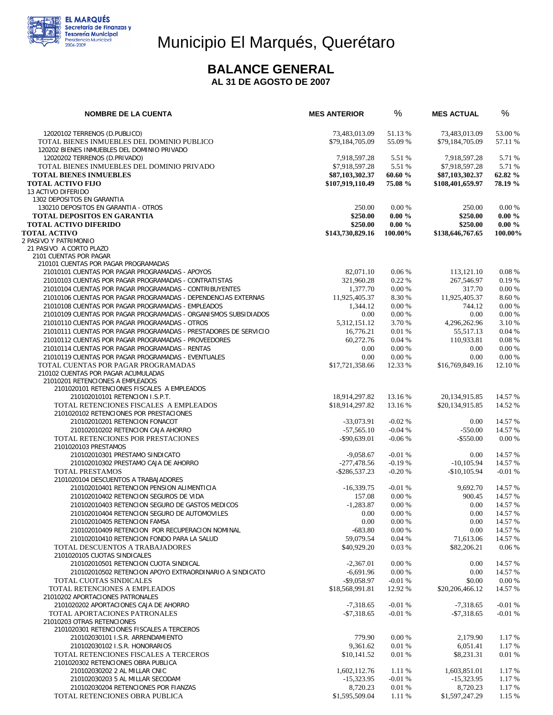

## Municipio El Marqués, Querétaro

#### **BALANCE GENERAL**

 **AL 31 DE AGOSTO DE 2007** 

| <b>NOMBRE DE LA CUENTA</b>                                                                       | <b>MES ANTERIOR</b>         | %                    | <b>MES ACTUAL</b>       | %                  |
|--------------------------------------------------------------------------------------------------|-----------------------------|----------------------|-------------------------|--------------------|
| 12020102 TERRENOS (D.PUBLICO)                                                                    | 73,483,013.09               | 51.13 %              | 73,483,013.09           | 53.00 %            |
| TOTAL BIENES INMUEBLES DEL DOMINIO PUBLICO<br>120202 BIENES INMUEBLES DEL DOMINIO PRIVADO        | \$79,184,705.09             | 55.09 %              | \$79,184,705.09         | 57.11 %            |
| 12020202 TERRENOS (D.PRIVADO)                                                                    | 7,918,597.28                | 5.51 %               | 7,918,597.28            | 5.71 %             |
| TOTAL BIENES INMUEBLES DEL DOMINIO PRIVADO                                                       | \$7,918,597.28              | 5.51 %               | \$7,918,597.28          | 5.71 %             |
| <b>TOTAL BIENES INMUEBLES</b>                                                                    | \$87,103,302.37             | 60.60 %              | \$87,103,302.37         | 62.82 %            |
| <b>TOTAL ACTIVO FIJO</b>                                                                         | \$107,919,110.49            | 75.08 %              | \$108,401,659.97        | 78.19 %            |
| 13 ACTIVO DIFERIDO                                                                               |                             |                      |                         |                    |
| 1302 DEPOSITOS EN GARANTIA<br>130210 DEPOSITOS EN GARANTIA - OTROS                               | 250.00                      | 0.00%                | 250.00                  | 0.00 %             |
| <b>TOTAL DEPOSITOS EN GARANTIA</b>                                                               | \$250.00                    | $0.00 \%$            | \$250.00                | $0.00 \%$          |
| <b>TOTAL ACTIVO DIFERIDO</b>                                                                     | \$250.00                    | $0.00 \%$            | \$250.00                | $0.00 \%$          |
| <b>TOTAL ACTIVO</b>                                                                              | \$143,730,829.16            | 100.00%              | \$138,646,767.65        | 100.00%            |
| 2 PASIVO Y PATRIMONIO                                                                            |                             |                      |                         |                    |
| 21 PASIVO A CORTO PLAZO                                                                          |                             |                      |                         |                    |
| 2101 CUENTAS POR PAGAR<br>210101 CUENTAS POR PAGAR PROGRAMADAS                                   |                             |                      |                         |                    |
| 21010101 CUENTAS POR PAGAR PROGRAMADAS - APOYOS                                                  | 82,071.10                   | 0.06%                | 113,121.10              | $0.08 \%$          |
| 21010103 CUENTAS POR PAGAR PROGRAMADAS - CONTRATISTAS                                            | 321,960.28                  | 0.22%                | 267,546.97              | 0.19%              |
| 21010104 CUENTAS POR PAGAR PROGRAMADAS - CONTRIBUYENTES                                          | 1,377.70                    | 0.00%                | 317.70                  | 0.00 %             |
| 21010106 CUENTAS POR PAGAR PROGRAMADAS - DEPENDENCIAS EXTERNAS                                   | 11,925,405.37               | 8.30 %               | 11,925,405.37           | 8.60 %             |
| 21010108 CUENTAS POR PAGAR PROGRAMADAS - EMPLEADOS                                               | 1,344.12                    | 0.00%                | 744.12                  | 0.00 %             |
| 21010109 CUENTAS POR PAGAR PROGRAMADAS - ORGANISMOS SUBSIDIADOS                                  | 0.00                        | 0.00%                | 0.00                    | 0.00%              |
| 21010110 CUENTAS POR PAGAR PROGRAMADAS - OTROS                                                   | 5,312,151.12                | 3.70 %               | 4,296,262.96            | 3.10 %             |
| 21010111 CUENTAS POR PAGAR PROGRAMADAS - PRESTADORES DE SERVICIO                                 | 16,776.21                   | 0.01%                | 55,517.13               | 0.04%              |
| 21010112 CUENTAS POR PAGAR PROGRAMADAS - PROVEEDORES                                             | 60,272.76                   | 0.04%                | 110,933.81              | 0.08%              |
| 21010114 CUENTAS POR PAGAR PROGRAMADAS - RENTAS                                                  | 0.00                        | 0.00%                | 0.00                    | $0.00\%$           |
| 21010119 CUENTAS POR PAGAR PROGRAMADAS - EVENTUALES<br>TOTAL CUENTAS POR PAGAR PROGRAMADAS       | 0.00<br>\$17,721,358.66     | 0.00 %<br>12.33 %    | 0.00<br>\$16,769,849.16 | 0.00 %<br>12.10 %  |
| 210102 CUENTAS POR PAGAR ACUMULADAS                                                              |                             |                      |                         |                    |
| 21010201 RETENCIONES A EMPLEADOS                                                                 |                             |                      |                         |                    |
| 2101020101 RETENCIONES FISCALES A EMPLEADOS                                                      |                             |                      |                         |                    |
| 210102010101 RETENCION I.S.P.T.                                                                  | 18,914,297.82               | 13.16 %              | 20,134,915.85           | 14.57 %            |
| TOTAL RETENCIONES FISCALES A EMPLEADOS                                                           | \$18,914,297.82             | 13.16 %              | \$20,134,915.85         | 14.52 %            |
| 2101020102 RETENCIONES POR PRESTACIONES<br>210102010201 RETENCION FONACOT                        | $-33,073.91$                | $-0.02%$             | 0.00                    | 14.57 %            |
| 210102010202 RETENCION CAJA AHORRO                                                               | $-57,565.10$                | $-0.04%$             | $-550.00$               | 14.57 %            |
| TOTAL RETENCIONES POR PRESTACIONES                                                               | $-$ \$90,639.01             | $-0.06%$             | $-$ \$550.00            | 0.00 %             |
| 2101020103 PRESTAMOS                                                                             |                             |                      |                         |                    |
| 210102010301 PRESTAMO SINDICATO                                                                  | $-9,058.67$                 | $-0.01%$             | 0.00                    | 14.57 %            |
| 210102010302 PRESTAMO CAJA DE AHORRO                                                             | $-277,478.56$               | $-0.19%$             | $-10, 105.94$           | 14.57 %            |
| TOTAL PRESTAMOS                                                                                  | $-$ \$286,537.23            | $-0.20%$             | $-$10,105.94$           | $-0.01%$           |
| 2101020104 DESCUENTOS A TRABAJADORES<br>210102010401 RETENCION PENSION ALIMENTICIA               | $-16,339.75$                | $-0.01%$             | 9,692.70                | 14.57 %            |
| 210102010402 RETENCION SEGUROS DE VIDA                                                           | 157.08                      | 0.00%                | 900.45                  | 14.57 %            |
| 210102010403 RETENCION SEGURO DE GASTOS MEDICOS                                                  | $-1.283.87$                 | 0.00%                | 0.00                    | 14.57 %            |
| 210102010404 RETENCION SEGURO DE AUTOMOVILES                                                     | 0.00                        | 0.00 %               | 0.00                    | 14.57 %            |
| 210102010405 RETENCION FAMSA                                                                     | 0.00                        | 0.00 %               | 0.00                    | 14.57 %            |
| 210102010409 RETENCION POR RECUPERACION NOMINAL                                                  | $-683.80$                   | 0.00 %               | 0.00                    | 14.57 %            |
| 210102010410 RETENCION FONDO PARA LA SALUD                                                       | 59,079.54                   | 0.04%                | 71,613.06               | 14.57 %            |
| TOTAL DESCUENTOS A TRABAJADORES                                                                  | \$40,929.20                 | 0.03%                | \$82,206.21             | $0.06\%$           |
| 2101020105 CUOTAS SINDICALES                                                                     |                             |                      |                         |                    |
| 210102010501 RETENCION CUOTA SINDICAL<br>210102010502 RETENCION APOYO EXTRAORDINARIO A SINDICATO | $-2,367.01$                 | 0.00 %<br>$0.00\,\%$ | 0.00<br>0.00            | 14.57 %<br>14.57 % |
| TOTAL CUOTAS SINDICALES                                                                          | $-6,691.96$<br>$-$9.058.97$ | $-0.01%$             | \$0.00                  | 0.00 %             |
| TOTAL RETENCIONES A EMPLEADOS                                                                    | \$18,568,991.81             | 12.92 %              | \$20,206,466.12         | 14.57 %            |
| 21010202 APORTACIONES PATRONALES                                                                 |                             |                      |                         |                    |
| 2101020202 APORTACIONES CAJA DE AHORRO                                                           | $-7,318.65$                 | $-0.01%$             | $-7,318.65$             | $-0.01%$           |
| TOTAL APORTACIONES PATRONALES                                                                    | $-$7.318.65$                | $-0.01%$             | $-$7,318.65$            | $-0.01%$           |
| 21010203 OTRAS RETENCIONES                                                                       |                             |                      |                         |                    |
| 2101020301 RETENCIONES FISCALES A TERCEROS                                                       |                             |                      |                         |                    |
| 210102030101 I.S.R. ARRENDAMIENTO<br>210102030102 I.S.R. HONORARIOS                              | 779.90<br>9,361.62          | 0.00 %<br>0.01 %     | 2,179.90<br>6,051.41    | 1.17 %<br>1.17 %   |
| TOTAL RETENCIONES FISCALES A TERCEROS                                                            | \$10,141.52                 | 0.01%                | \$8,231.31              | 0.01%              |
| 2101020302 RETENCIONES OBRA PUBLICA                                                              |                             |                      |                         |                    |
| 210102030202 2 AL MILLAR CNIC                                                                    | 1,602,112.76                | 1.11 %               | 1,603,851.01            | 1.17 %             |
| 210102030203 5 AL MILLAR SECODAM                                                                 | $-15,323.95$                | $-0.01%$             | $-15,323.95$            | 1.17 %             |
| 210102030204 RETENCIONES POR FIANZAS                                                             | 8,720.23                    | 0.01%                | 8,720.23                | 1.17 %             |
| TOTAL RETENCIONES OBRA PUBLICA                                                                   | \$1,595,509.04              | 1.11 %               | \$1,597,247.29          | 1.15 %             |